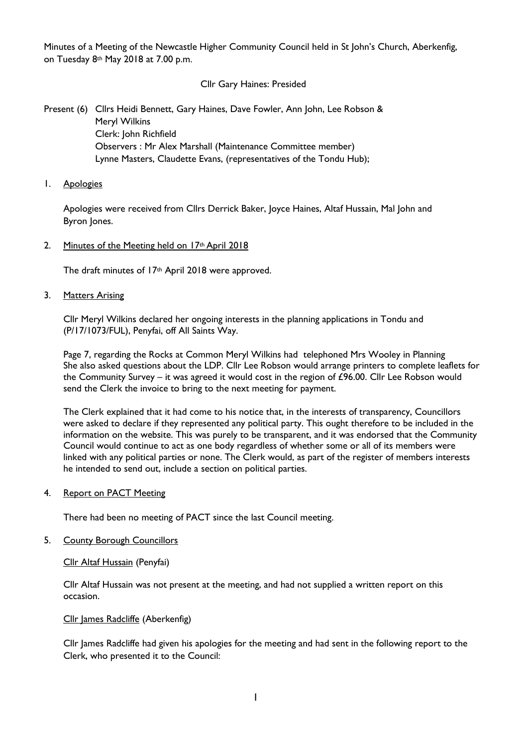Minutes of a Meeting of the Newcastle Higher Community Council held in St John's Church, Aberkenfig, on Tuesday 8th May 2018 at 7.00 p.m.

Cllr Gary Haines: Presided

Present (6) Cllrs Heidi Bennett, Gary Haines, Dave Fowler, Ann John, Lee Robson & Meryl Wilkins Clerk: John Richfield Observers : Mr Alex Marshall (Maintenance Committee member) Lynne Masters, Claudette Evans, (representatives of the Tondu Hub);

1. Apologies

Apologies were received from Cllrs Derrick Baker, Joyce Haines, Altaf Hussain, Mal John and Byron Jones.

2. Minutes of the Meeting held on 17th April 2018

The draft minutes of 17<sup>th</sup> April 2018 were approved.

3. Matters Arising

Cllr Meryl Wilkins declared her ongoing interests in the planning applications in Tondu and (P/17/1073/FUL), Penyfai, off All Saints Way.

Page 7, regarding the Rocks at Common Meryl Wilkins had telephoned Mrs Wooley in Planning She also asked questions about the LDP. Cllr Lee Robson would arrange printers to complete leaflets for the Community Survey – it was agreed it would cost in the region of £96.00. Cllr Lee Robson would send the Clerk the invoice to bring to the next meeting for payment.

The Clerk explained that it had come to his notice that, in the interests of transparency, Councillors were asked to declare if they represented any political party. This ought therefore to be included in the information on the website. This was purely to be transparent, and it was endorsed that the Community Council would continue to act as one body regardless of whether some or all of its members were linked with any political parties or none. The Clerk would, as part of the register of members interests he intended to send out, include a section on political parties.

4. Report on PACT Meeting

There had been no meeting of PACT since the last Council meeting.

5. County Borough Councillors

Cllr Altaf Hussain (Penyfai)

Cllr Altaf Hussain was not present at the meeting, and had not supplied a written report on this occasion.

Cllr James Radcliffe (Aberkenfig)

Cllr James Radcliffe had given his apologies for the meeting and had sent in the following report to the Clerk, who presented it to the Council: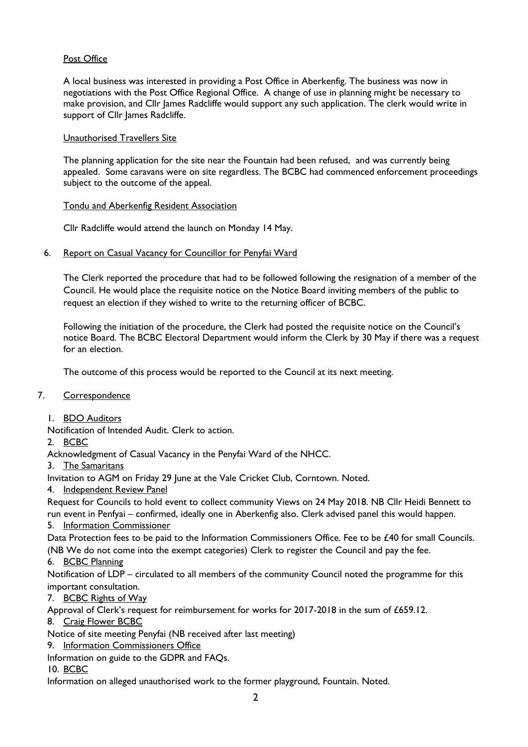## Post Office

A local business was interested in providing a Post Office in Aberkenfig. The business was now in negotiations with the Post Office Regional Office. A change of use in planning might be necessary to make provision, and Cllr James Radcliffe would support any such application. The clerk would write in support of Cllr James Radcliffe.

## Unauthorised Travellers Site

The planning application for the site near the Fountain had been refused, and was currently being appealed. Some caravans were on site regardless. The BCBC had commenced enforcement proceedings subject to the outcome of the appeal.

### Tondu and Aberkenfig Resident Association

Cllr Radcliffe would attend the launch on Monday 14 May.

### 6. Report on Casual Vacancy for Councillor for Penyfai Ward

The Clerk reported the procedure that had to be followed following the resignation of a member of the Council. He would place the requisite notice on the Notice Board inviting members of the public to request an election if they wished to write to the returning officer of BCBC.

Following the initiation of the procedure, the Clerk had posted the requisite notice on the Council's notice Board. The BCBC Electoral Department would inform the Clerk by 30 May if there was a request for an election.

The outcome of this process would be reported to the Council at its next meeting.

# 7. Correspondence

1. BDO Auditors

Notification of Intended Audit. Clerk to action.

# 2. BCBC

Acknowledgment of Casual Vacancy in the Penyfai Ward of the NHCC.

3. The Samaritans

Invitation to AGM on Friday 29 June at the Vale Cricket Club, Corntown. Noted.

4. Independent Review Panel

Request for Councils to hold event to collect community Views on 24 May 2018. NB Cllr Heidi Bennett to run event in Penfyai – confirmed, ideally one in Aberkenfig also. Clerk advised panel this would happen.

#### 5. Information Commissioner

Data Protection fees to be paid to the Information Commissioners Office. Fee to be £40 for small Councils. (NB We do not come into the exempt categories) Clerk to register the Council and pay the fee.

# 6. BCBC Planning

Notification of LDP – circulated to all members of the community Council noted the programme for this important consultation.

7. BCBC Rights of Way

Approval of Clerk's request for reimbursement for works for 2017-2018 in the sum of £659.12.

8. Craig Flower BCBC

Notice of site meeting Penyfai (NB received after last meeting)

9. Information Commissioners Office

Information on guide to the GDPR and FAQs.

10. BCBC

Information on alleged unauthorised work to the former playground, Fountain. Noted.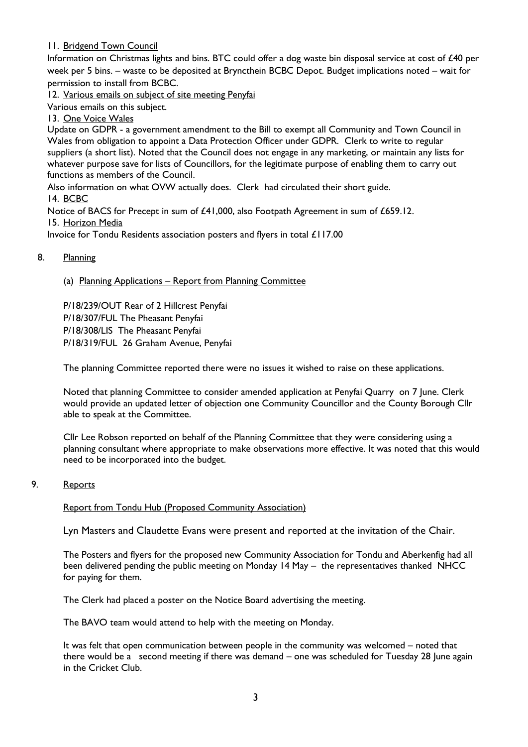# 11. Bridgend Town Council

Information on Christmas lights and bins. BTC could offer a dog waste bin disposal service at cost of £40 per week per 5 bins. – waste to be deposited at Bryncthein BCBC Depot. Budget implications noted – wait for permission to install from BCBC.

12. Various emails on subject of site meeting Penyfai

Various emails on this subject.

13. One Voice Wales

Update on GDPR - a government amendment to the Bill to exempt all Community and Town Council in Wales from obligation to appoint a Data Protection Officer under GDPR. Clerk to write to regular suppliers (a short list). Noted that the Council does not engage in any marketing, or maintain any lists for whatever purpose save for lists of Councillors, for the legitimate purpose of enabling them to carry out functions as members of the Council.

Also information on what OVW actually does. Clerk had circulated their short guide. 14. BCBC

Notice of BACS for Precept in sum of £41,000, also Footpath Agreement in sum of £659.12. 15. Horizon Media

Invoice for Tondu Residents association posters and flyers in total £117.00

### 8. Planning

(a) Planning Applications – Report from Planning Committee

P/18/239/OUT Rear of 2 Hillcrest Penyfai P/18/307/FUL The Pheasant Penyfai P/18/308/LIS The Pheasant Penyfai P/18/319/FUL 26 Graham Avenue, Penyfai

The planning Committee reported there were no issues it wished to raise on these applications.

Noted that planning Committee to consider amended application at Penyfai Quarry on 7 June. Clerk would provide an updated letter of objection one Community Councillor and the County Borough Cllr able to speak at the Committee.

Cllr Lee Robson reported on behalf of the Planning Committee that they were considering using a planning consultant where appropriate to make observations more effective. It was noted that this would need to be incorporated into the budget.

# 9. Reports

#### Report from Tondu Hub (Proposed Community Association)

Lyn Masters and Claudette Evans were present and reported at the invitation of the Chair.

The Posters and flyers for the proposed new Community Association for Tondu and Aberkenfig had all been delivered pending the public meeting on Monday 14 May – the representatives thanked NHCC for paying for them.

The Clerk had placed a poster on the Notice Board advertising the meeting.

The BAVO team would attend to help with the meeting on Monday.

It was felt that open communication between people in the community was welcomed – noted that there would be a second meeting if there was demand – one was scheduled for Tuesday 28 June again in the Cricket Club.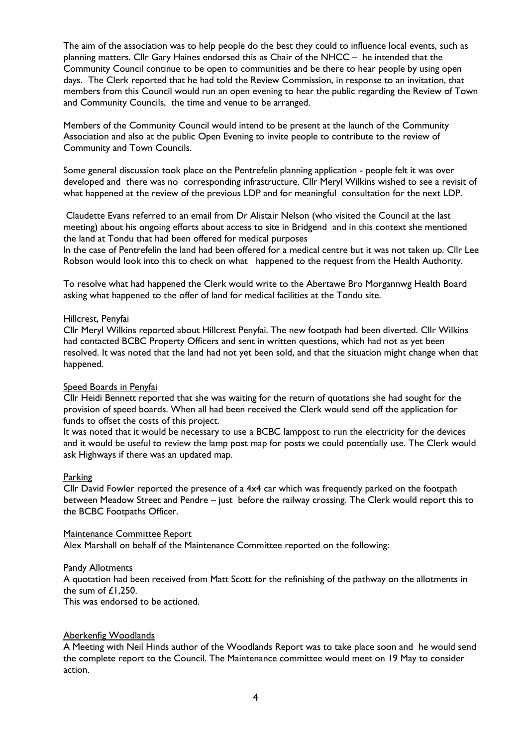The aim of the association was to help people do the best they could to influence local events, such as planning matters. Cllr Gary Haines endorsed this as Chair of the NHCC – he intended that the Community Council continue to be open to communities and be there to hear people by using open days. The Clerk reported that he had told the Review Commission, in response to an invitation, that members from this Council would run an open evening to hear the public regarding the Review of Town and Community Councils, the time and venue to be arranged.

Members of the Community Council would intend to be present at the launch of the Community Association and also at the public Open Evening to invite people to contribute to the review of Community and Town Councils.

Some general discussion took place on the Pentrefelin planning application - people felt it was over developed and there was no corresponding infrastructure. Cllr Meryl Wilkins wished to see a revisit of what happened at the review of the previous LDP and for meaningful consultation for the next LDP.

Claudette Evans referred to an email from Dr Alistair Nelson (who visited the Council at the last meeting) about his ongoing efforts about access to site in Bridgend and in this context she mentioned the land at Tondu that had been offered for medical purposes

In the case of Pentrefelin the land had been offered for a medical centre but it was not taken up. Cllr Lee Robson would look into this to check on what happened to the request from the Health Authority.

To resolve what had happened the Clerk would write to the Abertawe Bro Morgannwg Health Board asking what happened to the offer of land for medical facilities at the Tondu site.

#### Hillcrest, Penyfai

Cllr Meryl Wilkins reported about Hillcrest Penyfai. The new footpath had been diverted. Cllr Wilkins had contacted BCBC Property Officers and sent in written questions, which had not as yet been resolved. It was noted that the land had not yet been sold, and that the situation might change when that happened.

# Speed Boards in Penyfai

Cllr Heidi Bennett reported that she was waiting for the return of quotations she had sought for the provision of speed boards. When all had been received the Clerk would send off the application for funds to offset the costs of this project.

It was noted that it would be necessary to use a BCBC lamppost to run the electricity for the devices and it would be useful to review the lamp post map for posts we could potentially use. The Clerk would ask Highways if there was an updated map.

# Parking

Cllr David Fowler reported the presence of a 4x4 car which was frequently parked on the footpath between Meadow Street and Pendre – just before the railway crossing. The Clerk would report this to the BCBC Footpaths Officer.

#### Maintenance Committee Report

Alex Marshall on behalf of the Maintenance Committee reported on the following:

# Pandy Allotments

A quotation had been received from Matt Scott for the refinishing of the pathway on the allotments in the sum of  $£1,250$ .

This was endorsed to be actioned.

# Aberkenfig Woodlands

A Meeting with Neil Hinds author of the Woodlands Report was to take place soon and he would send the complete report to the Council. The Maintenance committee would meet on 19 May to consider action.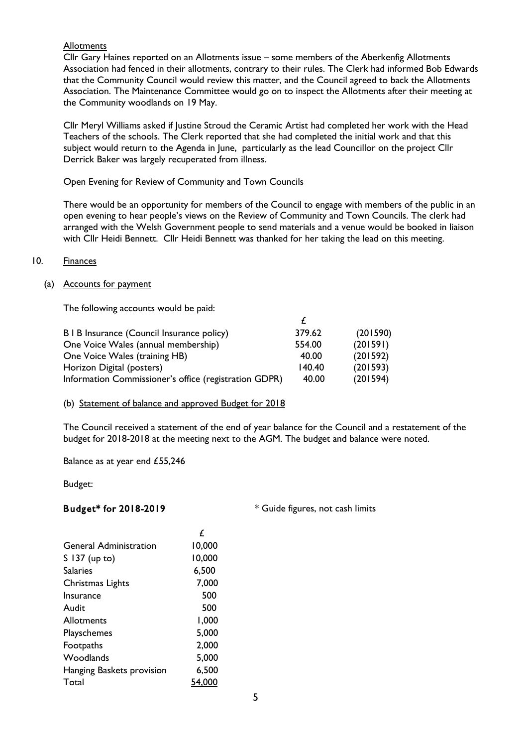### **Allotments**

Cllr Gary Haines reported on an Allotments issue – some members of the Aberkenfig Allotments Association had fenced in their allotments, contrary to their rules. The Clerk had informed Bob Edwards that the Community Council would review this matter, and the Council agreed to back the Allotments Association. The Maintenance Committee would go on to inspect the Allotments after their meeting at the Community woodlands on 19 May.

Cllr Meryl Williams asked if Justine Stroud the Ceramic Artist had completed her work with the Head Teachers of the schools. The Clerk reported that she had completed the initial work and that this subject would return to the Agenda in June, particularly as the lead Councillor on the project Cllr Derrick Baker was largely recuperated from illness.

#### Open Evening for Review of Community and Town Councils

There would be an opportunity for members of the Council to engage with members of the public in an open evening to hear people's views on the Review of Community and Town Councils. The clerk had arranged with the Welsh Government people to send materials and a venue would be booked in liaison with Cllr Heidi Bennett. Cllr Heidi Bennett was thanked for her taking the lead on this meeting.

#### 10. Finances

#### (a) Accounts for payment

The following accounts would be paid:

| B   B Insurance (Council Insurance policy)            | 379.62 | (201590) |
|-------------------------------------------------------|--------|----------|
| One Voice Wales (annual membership)                   | 554.00 | (201591) |
| One Voice Wales (training HB)                         | 40.00  | (201592) |
| Horizon Digital (posters)                             | 140.40 | (201593) |
| Information Commissioner's office (registration GDPR) | 40.00  | (201594) |

#### (b) Statement of balance and approved Budget for 2018

The Council received a statement of the end of year balance for the Council and a restatement of the budget for 2018-2018 at the meeting next to the AGM. The budget and balance were noted.

Balance as at year end £55,246

Budget:

Budget\* for 2018-2019 \* \* Guide figures, not cash limits

|                               | f      |
|-------------------------------|--------|
| <b>General Administration</b> | 10,000 |
| S 137 (up to)                 | 10,000 |
| Salaries                      | 6,500  |
| Christmas Lights              | 7,000  |
| Insurance                     | 500    |
| Audit                         | 500    |
| Allotments                    | 1,000  |
| Playschemes                   | 5,000  |
| Footpaths                     | 2,000  |
| Woodlands                     | 5,000  |
| Hanging Baskets provision     | 6,500  |
| Total                         |        |